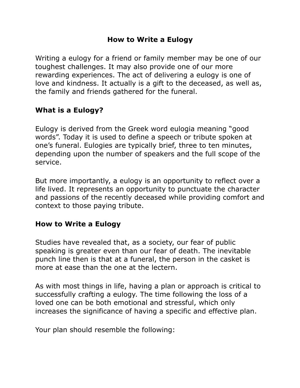## **How to Write a Eulogy**

Writing a eulogy for a friend or family member may be one of our toughest challenges. It may also provide one of our more rewarding experiences. The act of delivering a eulogy is one of love and kindness. It actually is a gift to the deceased, as well as, the family and friends gathered for the funeral.

# **What is a Eulogy?**

Eulogy is derived from the Greek word eulogia meaning "good words". Today it is used to define a speech or tribute spoken at one's funeral. Eulogies are typically brief, three to ten minutes, depending upon the number of speakers and the full scope of the service.

But more importantly, a eulogy is an opportunity to reflect over a life lived. It represents an opportunity to punctuate the character and passions of the recently deceased while providing comfort and context to those paying tribute.

## **How to Write a Eulogy**

Studies have revealed that, as a society, our fear of public speaking is greater even than our fear of death. The inevitable punch line then is that at a funeral, the person in the casket is more at ease than the one at the lectern.

As with most things in life, having a plan or approach is critical to successfully crafting a eulogy. The time following the loss of a loved one can be both emotional and stressful, which only increases the significance of having a specific and effective plan.

Your plan should resemble the following: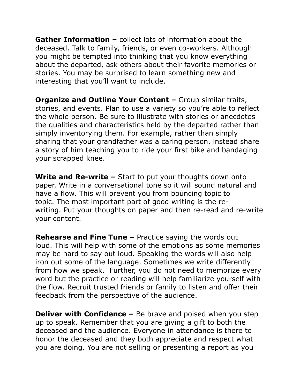**Gather Information –** collect lots of information about the deceased. Talk to family, friends, or even co-workers. Although you might be tempted into thinking that you know everything about the departed, ask others about their favorite memories or stories. You may be surprised to learn something new and interesting that you'll want to include.

**Organize and Outline Your Content –** Group similar traits, stories, and events. Plan to use a variety so you're able to reflect the whole person. Be sure to illustrate with stories or anecdotes the qualities and characteristics held by the departed rather than simply inventorying them. For example, rather than simply sharing that your grandfather was a caring person, instead share a story of him teaching you to ride your first bike and bandaging your scrapped knee.

**Write and Re-write –** Start to put your thoughts down onto paper. Write in a conversational tone so it will sound natural and have a flow. This will prevent you from bouncing topic to topic. The most important part of good writing is the rewriting. Put your thoughts on paper and then re-read and re-write your content.

**Rehearse and Fine Tune –** Practice saying the words out loud. This will help with some of the emotions as some memories may be hard to say out loud. Speaking the words will also help iron out some of the language. Sometimes we write differently from how we speak. Further, you do not need to memorize every word but the practice or reading will help familiarize yourself with the flow. Recruit trusted friends or family to listen and offer their feedback from the perspective of the audience.

**Deliver with Confidence –** Be brave and poised when you step up to speak. Remember that you are giving a gift to both the deceased and the audience. Everyone in attendance is there to honor the deceased and they both appreciate and respect what you are doing. You are not selling or presenting a report as you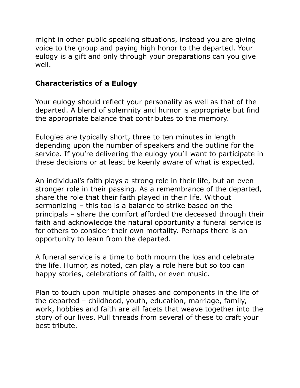might in other public speaking situations, instead you are giving voice to the group and paying high honor to the departed. Your eulogy is a gift and only through your preparations can you give well.

# **Characteristics of a Eulogy**

Your eulogy should reflect your personality as well as that of the departed. A blend of solemnity and humor is appropriate but find the appropriate balance that contributes to the memory.

Eulogies are typically short, three to ten minutes in length depending upon the number of speakers and the outline for the service. If you're delivering the eulogy you'll want to participate in these decisions or at least be keenly aware of what is expected.

An individual's faith plays a strong role in their life, but an even stronger role in their passing. As a remembrance of the departed, share the role that their faith played in their life. Without sermonizing – this too is a balance to strike based on the principals – share the comfort afforded the deceased through their faith and acknowledge the natural opportunity a funeral service is for others to consider their own mortality. Perhaps there is an opportunity to learn from the departed.

A funeral service is a time to both mourn the loss and celebrate the life. Humor, as noted, can play a role here but so too can happy stories, celebrations of faith, or even music.

Plan to touch upon multiple phases and components in the life of the departed – childhood, youth, education, marriage, family, work, hobbies and faith are all facets that weave together into the story of our lives. Pull threads from several of these to craft your best tribute.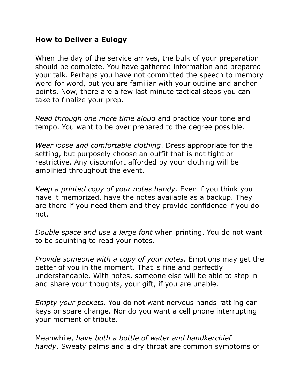### **How to Deliver a Eulogy**

When the day of the service arrives, the bulk of your preparation should be complete. You have gathered information and prepared your talk. Perhaps you have not committed the speech to memory word for word, but you are familiar with your outline and anchor points. Now, there are a few last minute tactical steps you can take to finalize your prep.

*Read through one more time aloud* and practice your tone and tempo. You want to be over prepared to the degree possible.

*Wear loose and comfortable clothing*. Dress appropriate for the setting, but purposely choose an outfit that is not tight or restrictive. Any discomfort afforded by your clothing will be amplified throughout the event.

*Keep a printed copy of your notes handy*. Even if you think you have it memorized, have the notes available as a backup. They are there if you need them and they provide confidence if you do not.

*Double space and use a large font* when printing. You do not want to be squinting to read your notes.

*Provide someone with a copy of your notes*. Emotions may get the better of you in the moment. That is fine and perfectly understandable. With notes, someone else will be able to step in and share your thoughts, your gift, if you are unable.

*Empty your pockets*. You do not want nervous hands rattling car keys or spare change. Nor do you want a cell phone interrupting your moment of tribute.

Meanwhile, *have both a bottle of water and handkerchief handy*. Sweaty palms and a dry throat are common symptoms of